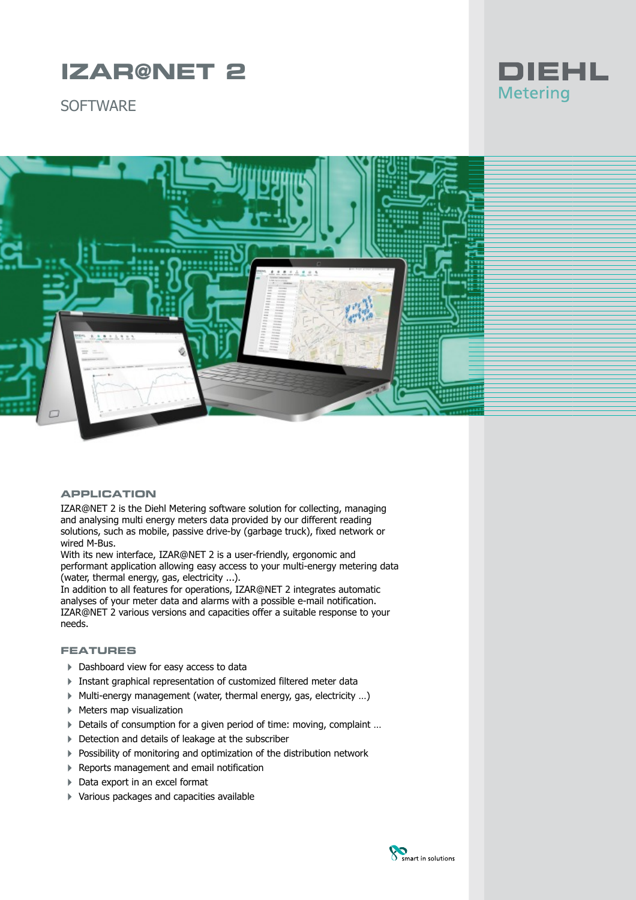# **IZAR@NET 2**

**SOFTWARF** 





### **APPLICATION**

IZAR@NET 2 is the Diehl Metering software solution for collecting, managing and analysing multi energy meters data provided by our different reading solutions, such as mobile, passive drive-by (garbage truck), fixed network or wired M-Bus.

With its new interface, IZAR@NET 2 is a user-friendly, ergonomic and performant application allowing easy access to your multi-energy metering data (water, thermal energy, gas, electricity ...).

In addition to all features for operations, IZAR@NET 2 integrates automatic analyses of your meter data and alarms with a possible e-mail notification. IZAR@NET 2 various versions and capacities offer a suitable response to your needs.

## **FEATURES**

- ▶ Dashboard view for easy access to data
- Instant graphical representation of customized filtered meter data
- $\blacktriangleright$  Multi-energy management (water, thermal energy, gas, electricity ...)
- ▶ Meters map visualization
- ▶ Details of consumption for a given period of time: moving, complaint ...
- ▶ Detection and details of leakage at the subscriber
- ▶ Possibility of monitoring and optimization of the distribution network
- ▶ Reports management and email notification
- ▶ Data export in an excel format
- 4 Various packages and capacities available

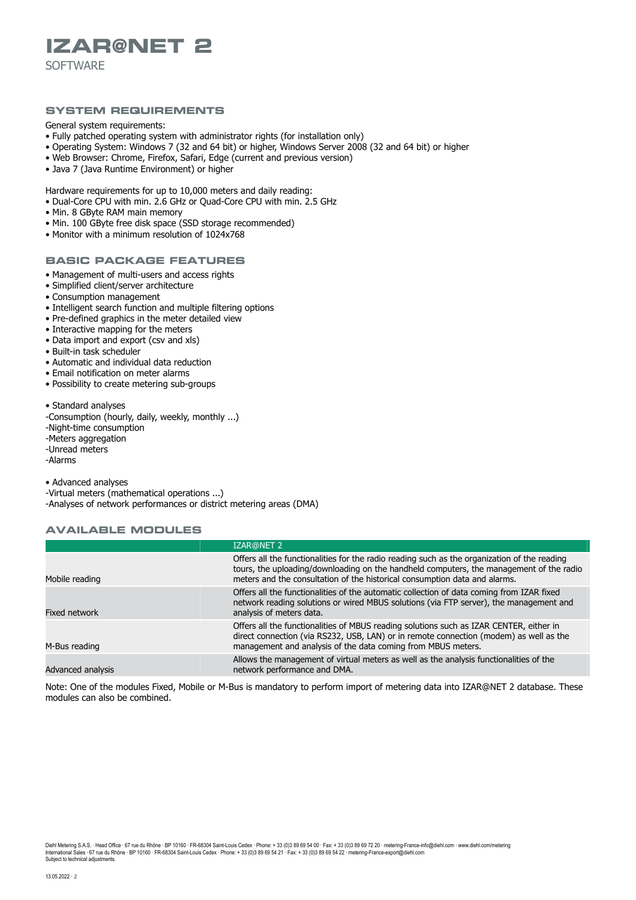# **IZAR@NET 2**

**SOFTWARE** 

### **SYSTEM REQUIREMENTS**

General system requirements:

- Fully patched operating system with administrator rights (for installation only)
- Operating System: Windows 7 (32 and 64 bit) or higher, Windows Server 2008 (32 and 64 bit) or higher
- Web Browser: Chrome, Firefox, Safari, Edge (current and previous version)
- Java 7 (Java Runtime Environment) or higher

Hardware requirements for up to 10,000 meters and daily reading:

- Dual-Core CPU with min. 2.6 GHz or Quad-Core CPU with min. 2.5 GHz
- Min. 8 GByte RAM main memory
- Min. 100 GByte free disk space (SSD storage recommended)
- Monitor with a minimum resolution of 1024x768

## **BASIC PACKAGE FEATURES**

- Management of multi-users and access rights
- Simplified client/server architecture
- Consumption management
- Intelligent search function and multiple filtering options
- Pre-defined graphics in the meter detailed view
- Interactive mapping for the meters
- Data import and export (csv and xls)
- Built-in task scheduler
- Automatic and individual data reduction
- Email notification on meter alarms
- Possibility to create metering sub-groups

• Standard analyses

-Consumption (hourly, daily, weekly, monthly ...) -Night-time consumption -Meters aggregation -Unread meters -Alarms

• Advanced analyses

-Virtual meters (mathematical operations ...) -Analyses of network performances or district metering areas (DMA)

#### **AVAILABLE MODULES**

|                   | <b>IZAR@NET 2</b>                                                                                                                                                                                                                                                     |
|-------------------|-----------------------------------------------------------------------------------------------------------------------------------------------------------------------------------------------------------------------------------------------------------------------|
| Mobile reading    | Offers all the functionalities for the radio reading such as the organization of the reading<br>tours, the uploading/downloading on the handheld computers, the management of the radio<br>meters and the consultation of the historical consumption data and alarms. |
| Fixed network     | Offers all the functionalities of the automatic collection of data coming from IZAR fixed<br>network reading solutions or wired MBUS solutions (via FTP server), the management and<br>analysis of meters data.                                                       |
| M-Bus reading     | Offers all the functionalities of MBUS reading solutions such as IZAR CENTER, either in<br>direct connection (via RS232, USB, LAN) or in remote connection (modem) as well as the<br>management and analysis of the data coming from MBUS meters.                     |
| Advanced analysis | Allows the management of virtual meters as well as the analysis functionalities of the<br>network performance and DMA.                                                                                                                                                |

Note: One of the modules Fixed, Mobile or M-Bus is mandatory to perform import of metering data into IZAR@NET 2 database. These modules can also be combined.

Diehl Metering S.A.S. ∙ Head Office ∙ 67 rue du Rhône · BP 10160 · FR-68304 Saint-Louis Cedex · Phone: + 33 (0)3 89 69 10 · Fax: + 33 (0)3 89 69 72 20 · metering-France-info@diehl.com · www.diehl.com/metering International Sales ∙ 67 rue du Rhône ∙ BP 10160 ∙ FR-68304 Saint-Louis Cedex ∙ Phone: + 33 (0)3 89 69 54 21 ∙ Fax: + 33 (0)3 89 69 54 22 ∙ metering-France-export@diehl.com Subject to technical adjustments.